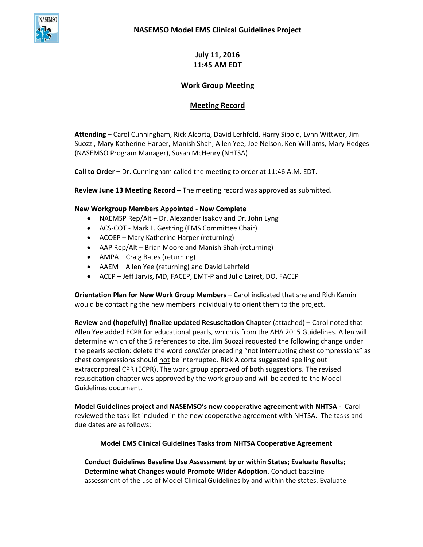

**July 11, 2016 11:45 AM EDT**

## **Work Group Meeting**

# **Meeting Record**

**Attending –** Carol Cunningham, Rick Alcorta, David Lerhfeld, Harry Sibold, Lynn Wittwer, Jim Suozzi, Mary Katherine Harper, Manish Shah, Allen Yee, Joe Nelson, Ken Williams, Mary Hedges (NASEMSO Program Manager), Susan McHenry (NHTSA)

**Call to Order –** Dr. Cunningham called the meeting to order at 11:46 A.M. EDT.

**Review June 13 Meeting Record** – The meeting record was approved as submitted.

### **New Workgroup Members Appointed - Now Complete**

- NAEMSP Rep/Alt Dr. Alexander Isakov and Dr. John Lyng
- ACS-COT Mark L. Gestring (EMS Committee Chair)
- ACOEP Mary Katherine Harper (returning)
- AAP Rep/Alt Brian Moore and Manish Shah (returning)
- AMPA Craig Bates (returning)
- AAEM Allen Yee (returning) and David Lehrfeld
- ACEP Jeff Jarvis, MD, FACEP, EMT-P and Julio Lairet, DO, FACEP

**Orientation Plan for New Work Group Members –** Carol indicated that she and Rich Kamin would be contacting the new members individually to orient them to the project.

**Review and (hopefully) finalize updated Resuscitation Chapter** (attached) – Carol noted that Allen Yee added ECPR for educational pearls, which is from the AHA 2015 Guidelines. Allen will determine which of the 5 references to cite. Jim Suozzi requested the following change under the pearls section: delete the word *consider* preceding "not interrupting chest compressions" as chest compressions should not be interrupted. Rick Alcorta suggested spelling out extracorporeal CPR (ECPR). The work group approved of both suggestions. The revised resuscitation chapter was approved by the work group and will be added to the Model Guidelines document.

**Model Guidelines project and NASEMSO's new cooperative agreement with NHTSA -** Carol reviewed the task list included in the new cooperative agreement with NHTSA. The tasks and due dates are as follows:

### **Model EMS Clinical Guidelines Tasks from NHTSA Cooperative Agreement**

**Conduct Guidelines Baseline Use Assessment by or within States; Evaluate Results; Determine what Changes would Promote Wider Adoption.** Conduct baseline assessment of the use of Model Clinical Guidelines by and within the states. Evaluate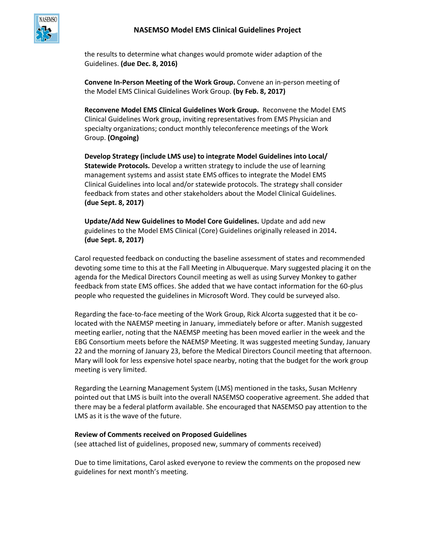

the results to determine what changes would promote wider adaption of the Guidelines. **(due Dec. 8, 2016)**

**Convene In-Person Meeting of the Work Group.** Convene an in-person meeting of the Model EMS Clinical Guidelines Work Group. **(by Feb. 8, 2017)** 

**Reconvene Model EMS Clinical Guidelines Work Group.** Reconvene the Model EMS Clinical Guidelines Work group, inviting representatives from EMS Physician and specialty organizations; conduct monthly teleconference meetings of the Work Group. **(Ongoing)**

**Develop Strategy (include LMS use) to integrate Model Guidelines into Local/ Statewide Protocols.** Develop a written strategy to include the use of learning management systems and assist state EMS offices to integrate the Model EMS Clinical Guidelines into local and/or statewide protocols. The strategy shall consider feedback from states and other stakeholders about the Model Clinical Guidelines. **(due Sept. 8, 2017)** 

**Update/Add New Guidelines to Model Core Guidelines.** Update and add new guidelines to the Model EMS Clinical (Core) Guidelines originally released in 2014**. (due Sept. 8, 2017)** 

Carol requested feedback on conducting the baseline assessment of states and recommended devoting some time to this at the Fall Meeting in Albuquerque. Mary suggested placing it on the agenda for the Medical Directors Council meeting as well as using Survey Monkey to gather feedback from state EMS offices. She added that we have contact information for the 60-plus people who requested the guidelines in Microsoft Word. They could be surveyed also.

Regarding the face-to-face meeting of the Work Group, Rick Alcorta suggested that it be colocated with the NAEMSP meeting in January, immediately before or after. Manish suggested meeting earlier, noting that the NAEMSP meeting has been moved earlier in the week and the EBG Consortium meets before the NAEMSP Meeting. It was suggested meeting Sunday, January 22 and the morning of January 23, before the Medical Directors Council meeting that afternoon. Mary will look for less expensive hotel space nearby, noting that the budget for the work group meeting is very limited.

Regarding the Learning Management System (LMS) mentioned in the tasks, Susan McHenry pointed out that LMS is built into the overall NASEMSO cooperative agreement. She added that there may be a federal platform available. She encouraged that NASEMSO pay attention to the LMS as it is the wave of the future.

#### **Review of Comments received on Proposed Guidelines**

(see attached list of guidelines, proposed new, summary of comments received)

Due to time limitations, Carol asked everyone to review the comments on the proposed new guidelines for next month's meeting.